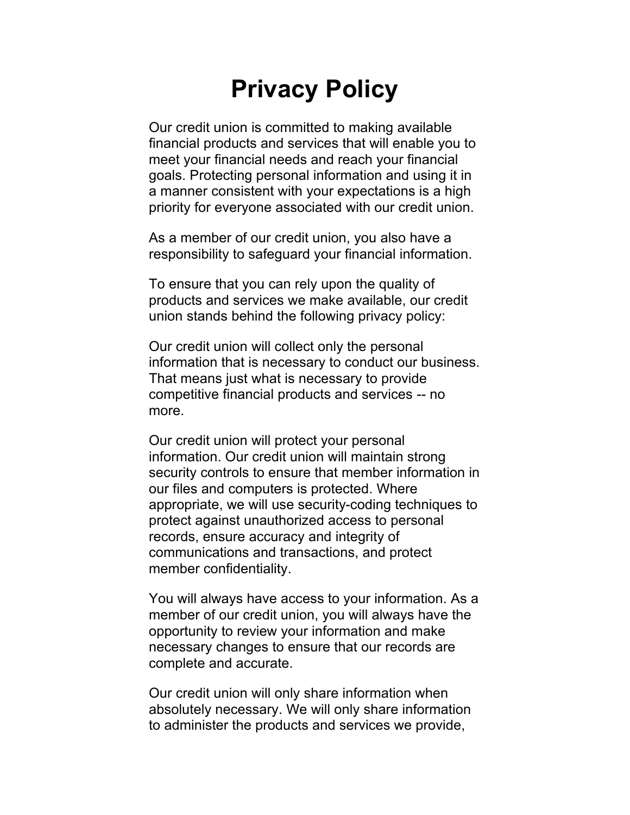## **Privacy Policy**

Our credit union is committed to making available financial products and services that will enable you to meet your financial needs and reach your financial goals. Protecting personal information and using it in a manner consistent with your expectations is a high priority for everyone associated with our credit union.

As a member of our credit union, you also have a responsibility to safeguard your financial information.

To ensure that you can rely upon the quality of products and services we make available, our credit union stands behind the following privacy policy:

Our credit union will collect only the personal information that is necessary to conduct our business. That means just what is necessary to provide competitive financial products and services -- no more.

Our credit union will protect your personal information. Our credit union will maintain strong security controls to ensure that member information in our files and computers is protected. Where appropriate, we will use security-coding techniques to protect against unauthorized access to personal records, ensure accuracy and integrity of communications and transactions, and protect member confidentiality.

You will always have access to your information. As a member of our credit union, you will always have the opportunity to review your information and make necessary changes to ensure that our records are complete and accurate.

Our credit union will only share information when absolutely necessary. We will only share information to administer the products and services we provide,